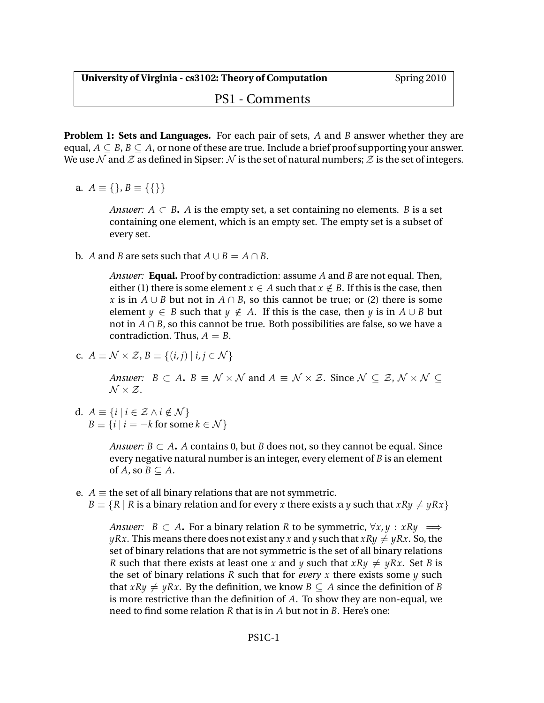## PS1 - Comments

**Problem 1: Sets and Languages.** For each pair of sets, *A* and *B* answer whether they are equal,  $A \subseteq B$ ,  $B \subseteq A$ , or none of these are true. Include a brief proof supporting your answer. We use N and Z as defined in Sipser: N is the set of natural numbers; Z is the set of integers.

a.  $A \equiv \{\}, B \equiv \{\{\}\}\$ 

*Answer:*  $A \subset B$ . *A* is the empty set, a set containing no elements. *B* is a set containing one element, which is an empty set. The empty set is a subset of every set.

**b.** *A* and *B* are sets such that  $A ∪ B = A ∩ B$ .

*Answer:* **Equal.** Proof by contradiction: assume *A* and *B* are not equal. Then, either (1) there is some element  $x \in A$  such that  $x \notin B$ . If this is the case, then *x* is in *A* ∪ *B* but not in *A* ∩ *B*, so this cannot be true; or (2) there is some element *y*  $\in$  *B* such that *y*  $\notin$  *A*. If this is the case, then *y* is in *A* ∪ *B* but not in *A* ∩ *B*, so this cannot be true. Both possibilities are false, so we have a contradiction. Thus,  $A = B$ .

c. 
$$
A \equiv \mathcal{N} \times \mathcal{Z}, B \equiv \{(i,j) | i,j \in \mathcal{N}\}\
$$

*Answer: B*  $\subset$  *A***.** *B*  $\equiv$  *N*  $\times$  *N* and *A*  $\equiv$  *N*  $\times$  *Z*. Since *N*  $\subseteq$  *Z*, *N*  $\times$  *N*  $\subseteq$  $\mathcal{N} \times \mathcal{Z}$ .

d.  $A \equiv \{i \mid i \in \mathcal{Z} \land i \notin \mathcal{N}\}\$  $B \equiv \{i \mid i = -k \text{ for some } k \in \mathcal{N}\}\$ 

> *Answer:*  $B \subset A$ . *A* contains 0, but *B* does not, so they cannot be equal. Since every negative natural number is an integer, every element of *B* is an element of *A*, so  $B \subseteq A$ .

- e. *A*  $\equiv$  the set of all binary relations that are not symmetric.
	- *B*  $\equiv \{R \mid R \text{ is a binary relation and for every *x* there exists a *y* such that  $xRy \neq yRx\}$$

*Answer:*  $B \subset A$ . For a binary relation R to be symmetric,  $\forall x, y : xRy \implies$ *yRx*. This means there does not exist any *x* and *y* such that  $xRy \neq yRx$ . So, the set of binary relations that are not symmetric is the set of all binary relations *R* such that there exists at least one *x* and *y* such that  $xRy \neq yRx$ . Set *B* is the set of binary relations *R* such that for *every x* there exists some *y* such that  $xRy \neq yRx$ . By the definition, we know  $B \subseteq A$  since the definition of *B* is more restrictive than the definition of *A*. To show they are non-equal, we need to find some relation *R* that is in *A* but not in *B*. Here's one: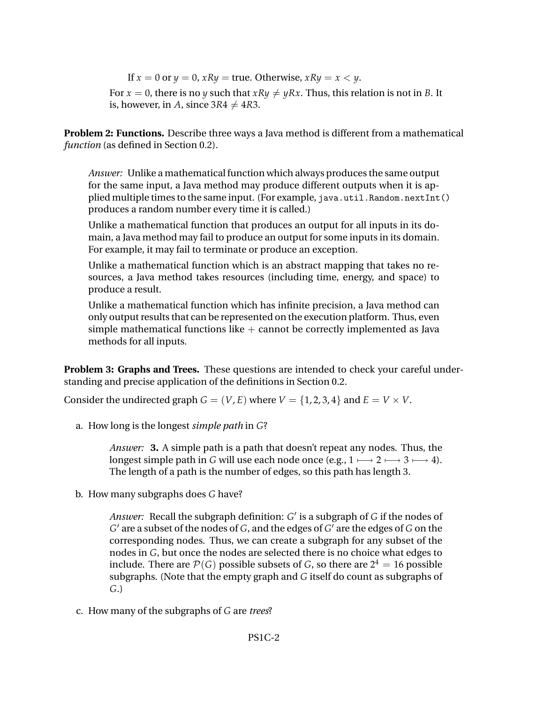If  $x = 0$  or  $y = 0$ ,  $xRy = true$ . Otherwise,  $xRy = x < y$ . For  $x = 0$ , there is no *y* such that  $xRy \neq yRx$ . Thus, this relation is not in *B*. It is, however, in *A*, since  $3R4 \neq 4R3$ .

**Problem 2: Functions.** Describe three ways a Java method is different from a mathematical *function* (as defined in Section 0.2).

*Answer:* Unlike a mathematical function which always produces the same output for the same input, a Java method may produce different outputs when it is applied multiple times to the same input. (For example, java.util.Random.nextInt() produces a random number every time it is called.)

Unlike a mathematical function that produces an output for all inputs in its domain, a Java method may fail to produce an output for some inputs in its domain. For example, it may fail to terminate or produce an exception.

Unlike a mathematical function which is an abstract mapping that takes no resources, a Java method takes resources (including time, energy, and space) to produce a result.

Unlike a mathematical function which has infinite precision, a Java method can only output results that can be represented on the execution platform. Thus, even simple mathematical functions like  $+$  cannot be correctly implemented as Java methods for all inputs.

**Problem 3: Graphs and Trees.** These questions are intended to check your careful understanding and precise application of the definitions in Section 0.2.

Consider the undirected graph  $G = (V, E)$  where  $V = \{1, 2, 3, 4\}$  and  $E = V \times V$ .

a. How long is the longest *simple path* in *G*?

*Answer:* **3.** A simple path is a path that doesn't repeat any nodes. Thus, the longest simple path in *G* will use each node once (e.g.,  $1 \longmapsto 2 \longmapsto 3 \longmapsto 4$ ). The length of a path is the number of edges, so this path has length 3.

b. How many subgraphs does *G* have?

Answer: Recall the subgraph definition: *G'* is a subgraph of *G* if the nodes of  $G'$  are a subset of the nodes of  $G$ , and the edges of  $G'$  are the edges of  $G$  on the corresponding nodes. Thus, we can create a subgraph for any subset of the nodes in *G*, but once the nodes are selected there is no choice what edges to include. There are  $\mathcal P(G)$  possible subsets of  $G$ , so there are  $2^4=16$  possible subgraphs. (Note that the empty graph and *G* itself do count as subgraphs of *G*.)

c. How many of the subgraphs of *G* are *trees*?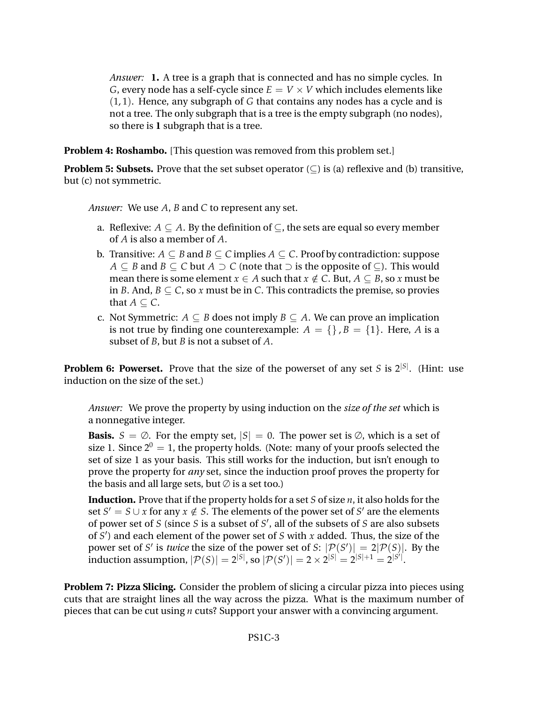*Answer:* **1.** A tree is a graph that is connected and has no simple cycles. In *G*, every node has a self-cycle since  $E = V \times V$  which includes elements like (1, 1). Hence, any subgraph of *G* that contains any nodes has a cycle and is not a tree. The only subgraph that is a tree is the empty subgraph (no nodes), so there is **1** subgraph that is a tree.

**Problem 4: Roshambo.** [This question was removed from this problem set.]

**Problem 5: Subsets.** Prove that the set subset operator  $(\subseteq)$  is (a) reflexive and (b) transitive, but (c) not symmetric.

*Answer:* We use *A*, *B* and *C* to represent any set.

- a. Reflexive:  $A \subseteq A$ . By the definition of  $\subseteq$ , the sets are equal so every member of *A* is also a member of *A*.
- b. Transitive:  $A ⊂ B$  and  $B ⊂ C$  implies  $A ⊂ C$ . Proof by contradiction: suppose *A* ⊂ *B* and *B* ⊂ *C* but *A*  $\supset$  *C* (note that  $\supset$  is the opposite of ⊂). This would mean there is some element  $x \in A$  such that  $x \notin C$ . But,  $A \subseteq B$ , so  $x$  must be in *B*. And,  $B \subseteq C$ , so *x* must be in *C*. This contradicts the premise, so provies that  $A \subset C$ .
- c. Not Symmetric:  $A \subseteq B$  does not imply  $B \subseteq A$ . We can prove an implication is not true by finding one counterexample:  $A = \{\}, B = \{1\}$ . Here, *A* is a subset of *B*, but *B* is not a subset of *A*.

**Problem 6: Powerset.** Prove that the size of the powerset of any set *S* is 2<sup>[S]</sup>. (Hint: use induction on the size of the set.)

*Answer:* We prove the property by using induction on the *size of the set* which is a nonnegative integer.

**Basis.**  $S = \emptyset$ . For the empty set,  $|S| = 0$ . The power set is  $\emptyset$ , which is a set of size 1. Since  $2^0 = 1$ , the property holds. (Note: many of your proofs selected the set of size 1 as your basis. This still works for the induction, but isn't enough to prove the property for *any* set, since the induction proof proves the property for the basis and all large sets, but  $\emptyset$  is a set too.)

**Induction.** Prove that if the property holds for a set *S* of size *n*, it also holds for the set  $S' = S \cup x$  for any  $x \notin S$ . The elements of the power set of  $S'$  are the elements of power set of *S* (since *S* is a subset of *S'*, all of the subsets of *S* are also subsets of *S* 0 ) and each element of the power set of *S* with *x* added. Thus, the size of the power set of *S'* is *twice* the size of the power set of *S*:  $|\mathcal{P}(S')| = 2|\mathcal{P}(S)|$ . By the induction assumption,  $|{\cal P}(S)| = 2^{|S|}$ , so  $|{\cal P}(S')| = 2 \times 2^{|S|} = 2^{|S|+1} = 2^{|S'|}.$ 

**Problem 7: Pizza Slicing.** Consider the problem of slicing a circular pizza into pieces using cuts that are straight lines all the way across the pizza. What is the maximum number of pieces that can be cut using *n* cuts? Support your answer with a convincing argument.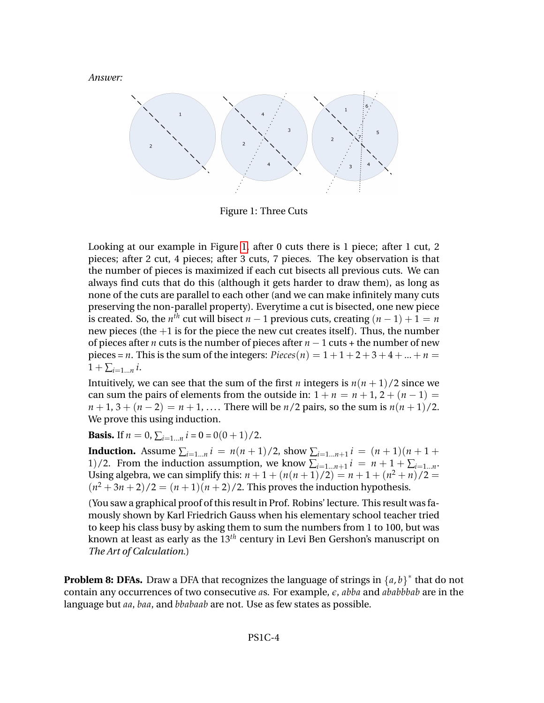*Answer:*



<span id="page-3-0"></span>Figure 1: Three Cuts

Looking at our example in Figure [1,](#page-3-0) after 0 cuts there is 1 piece; after 1 cut, 2 pieces; after 2 cut, 4 pieces; after 3 cuts, 7 pieces. The key observation is that the number of pieces is maximized if each cut bisects all previous cuts. We can always find cuts that do this (although it gets harder to draw them), as long as none of the cuts are parallel to each other (and we can make infinitely many cuts preserving the non-parallel property). Everytime a cut is bisected, one new piece is created. So, the  $n^{th}$  cut will bisect  $n-1$  previous cuts, creating  $(n-1)+1=n$ new pieces (the  $+1$  is for the piece the new cut creates itself). Thus, the number of pieces after *n* cuts is the number of pieces after *n* − 1 cuts + the number of new pieces = *n*. This is the sum of the integers:  $Pieces(n) = 1 + 1 + 2 + 3 + 4 + ... + n =$  $1 + \sum_{i=1...n} i$ .

Intuitively, we can see that the sum of the first *n* integers is  $n(n+1)/2$  since we can sum the pairs of elements from the outside in:  $1 + n = n + 1$ ,  $2 + (n - 1) =$  $n+1, 3 + (n-2) = n+1, \ldots$ . There will be  $n/2$  pairs, so the sum is  $n(n+1)/2$ . We prove this using induction.

**Basis.** If  $n = 0$ ,  $\sum_{i=1...n} i = 0 = 0(0+1)/2$ .

**Induction.** Assume  $\sum_{i=1...n} i = n(n+1)/2$ , show  $\sum_{i=1...n+1} i = (n+1)(n+1+1)$ 1)/2. From the induction assumption, we know  $\sum_{i=1...n+1} i = n+1+\sum_{i=1...n}$ . Using algebra, we can simplify this:  $n + 1 + (n(n+1)/2) = n + 1 + (n^2 + n)/2 =$  $(n^2+3n+2)/2 = (n+1)(n+2)/2$ . This proves the induction hypothesis.

(You saw a graphical proof of this result in Prof. Robins' lecture. This result was famously shown by Karl Friedrich Gauss when his elementary school teacher tried to keep his class busy by asking them to sum the numbers from 1 to 100, but was known at least as early as the 13*th* century in Levi Ben Gershon's manuscript on *The Art of Calculation*.)

**Problem 8: DFAs.** Draw a DFA that recognizes the language of strings in  $\{a, b\}^*$  that do not contain any occurrences of two consecutive *a*s. For example, *e*, *abba* and *ababbbab* are in the language but *aa*, *baa*, and *bbabaab* are not. Use as few states as possible.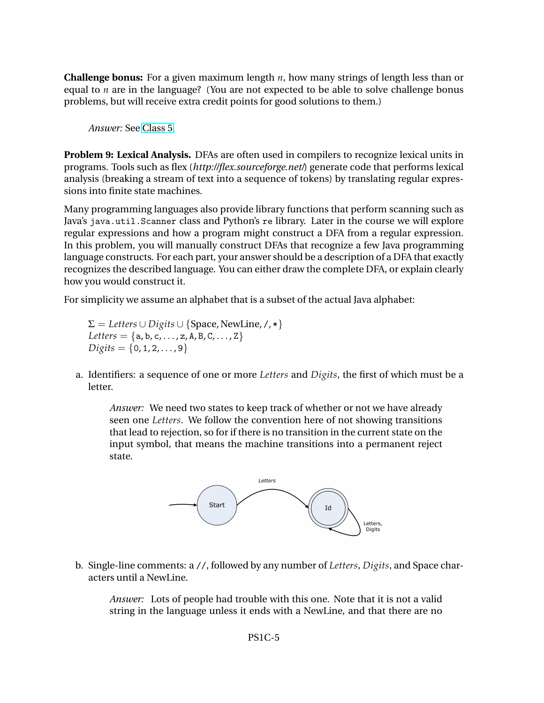**Challenge bonus:** For a given maximum length *n*, how many strings of length less than or equal to *n* are in the language? (You are not expected to be able to solve challenge bonus problems, but will receive extra credit points for good solutions to them.)

*Answer:* See [Class 5.](http://www.cs.virginia.edu/evans/cs3102-s10/classes/class5/)

**Problem 9: Lexical Analysis.** DFAs are often used in compilers to recognize lexical units in programs. Tools such as flex (*http://flex.sourceforge.net/*) generate code that performs lexical analysis (breaking a stream of text into a sequence of tokens) by translating regular expressions into finite state machines.

Many programming languages also provide library functions that perform scanning such as Java's java.util.Scanner class and Python's re library. Later in the course we will explore regular expressions and how a program might construct a DFA from a regular expression. In this problem, you will manually construct DFAs that recognize a few Java programming language constructs. For each part, your answer should be a description of a DFA that exactly recognizes the described language. You can either draw the complete DFA, or explain clearly how you would construct it.

For simplicity we assume an alphabet that is a subset of the actual Java alphabet:

 $\Sigma = \text{Leters} \cup \text{Digits} \cup \{\text{Space}, \text{NewLine}, \text{/}, *\}$  $Leters = {a, b, c, ..., z, A, B, C, ..., Z}$  $Digits = \{0, 1, 2, \ldots, 9\}$ 

a. Identifiers: a sequence of one or more *Letters* and *Digits*, the first of which must be a letter.

*Answer:* We need two states to keep track of whether or not we have already seen one *Letters*. We follow the convention here of not showing transitions that lead to rejection, so for if there is no transition in the current state on the input symbol, that means the machine transitions into a permanent reject state.



b. Single-line comments: a //, followed by any number of *Letters*, *Digits*, and Space characters until a NewLine.

*Answer:* Lots of people had trouble with this one. Note that it is not a valid string in the language unless it ends with a NewLine, and that there are no